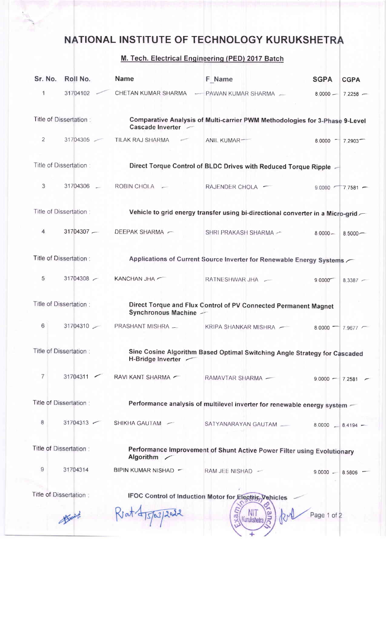## NATIONAL INSTITUTE OF TECHNOLOGY KURUKSHETRA

## M. Tech. Electrical Engineerinq (PED) 2017 Batch

| Sr. No.                                                                                 | Roll No.               | <b>Name</b>                                                                                       | <b>F</b> Name                                                                    | <b>SGPA</b><br><b>CGPA</b>    |  |
|-----------------------------------------------------------------------------------------|------------------------|---------------------------------------------------------------------------------------------------|----------------------------------------------------------------------------------|-------------------------------|--|
| 1                                                                                       | 31704102               | CHETAN KUMAR SHARMA                                                                               | - PAWAN KUMAR SHARMA                                                             | $8,0000 -$<br>$7.2258 -$      |  |
| Title of Dissertation:                                                                  |                        | Comparative Analysis of Multi-carrier PWM Methodologies for 3-Phase 9-Level<br>Cascade Inverter - |                                                                                  |                               |  |
| $\overline{2}$                                                                          | 31704305               | TILAK RAJ SHARMA                                                                                  | ANIL KUMAR-                                                                      | 8 0000 7 7 2903               |  |
|                                                                                         | Title of Dissertation: |                                                                                                   | Direct Torque Control of BLDC Drives with Reduced Torque Ripple -                |                               |  |
| 3                                                                                       | 31704306 -             | ROBIN CHOLA -                                                                                     | RAJENDER CHOLA -                                                                 | $9.0000$ $\sim$<br>$7.7581 -$ |  |
|                                                                                         | Title of Dissertation: |                                                                                                   | Vehicle to grid energy transfer using bi-directional converter in a Micro-grid - |                               |  |
| 4                                                                                       | $31704307 -$           | DEEPAK SHARMA ~                                                                                   | SHRI PRAKASH SHARMA ~                                                            | $8,0000 -$<br>$8,5000 -$      |  |
| Title of Dissertation:                                                                  |                        | Applications of Current Source Inverter for Renewable Energy Systems                              |                                                                                  |                               |  |
| 5                                                                                       | 31704308               | KANCHAN JHA                                                                                       | RATNESHWAR JHA -                                                                 | $9.0000^{-7}$<br>$8,3387 -$   |  |
|                                                                                         | Title of Dissertation: | Synchronous Machine -                                                                             | Direct Torque and Flux Control of PV Connected Permanent Magnet                  |                               |  |
| 6                                                                                       | 31704310               | PRASHANT MISHRA -                                                                                 | KRIPA SHANKAR MISHRA                                                             | $8.0000 -$<br>$7.9677$ ~      |  |
| Title of Dissertation:                                                                  |                        | Sine Cosine Algorithm Based Optimal Switching Angle Strategy for Cascaded<br>H-Bridge Inverter -  |                                                                                  |                               |  |
| $\overline{7}$                                                                          | 31704311               | RAVI KANT SHARMA                                                                                  | RAMAVTAR SHARMA -                                                                | $9.0000 - 7.2581$             |  |
|                                                                                         | Title of Dissertation: |                                                                                                   | Performance analysis of multilevel inverter for renewable energy system -        |                               |  |
| 8                                                                                       | 31704313               | SHIKHA GAUTAM -                                                                                   | SATYANARAYAN GAUTAM                                                              | 8 0000<br>$8.4194 -$          |  |
| Title of Dissertation:                                                                  |                        | Performance Improvement of Shunt Active Power Filter using Evolutionary<br>Algorithm /            |                                                                                  |                               |  |
| 9                                                                                       | 31704314               | BIPIN KUMAR NISHAD -                                                                              | RAM JEE NISHAD -                                                                 | $9.0000 -$<br>8 5 8 0 6       |  |
| Title of Dissertation :<br><b>IFOC Control of Induction Motor for Electric Vehicles</b> |                        |                                                                                                   |                                                                                  |                               |  |
|                                                                                         |                        |                                                                                                   |                                                                                  | Page 1 of 2                   |  |